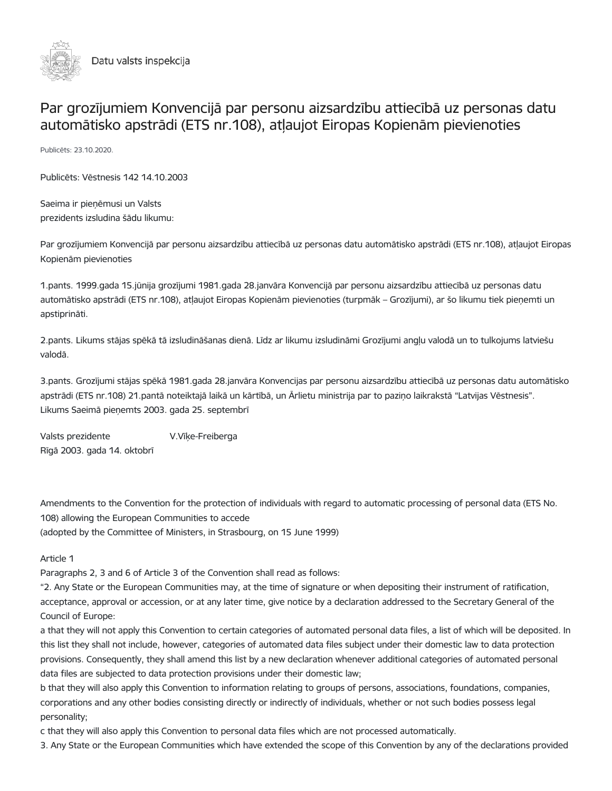

# Par grozījumiem Konvencijā par personu aizsardzību attiecībā uz personas datu automātisko apstrādi (ETS nr.108), atļaujot Eiropas Kopienām pievienoties

Publicēts: 23.10.2020.

Publicēts: Vēstnesis 142 14.10.2003

Saeima ir pieņēmusi un Valsts prezidents izsludina šādu likumu:

Par grozījumiem Konvencijā par personu aizsardzību attiecībā uz personas datu automātisko apstrādi (ETS nr.108), atļaujot Eiropas Kopienām pievienoties

1.pants. 1999.gada 15.jūnija grozījumi 1981.gada 28.janvāra Konvencijā par personu aizsardzību attiecībā uz personas datu automātisko apstrādi (ETS nr.108), atļaujot Eiropas Kopienām pievienoties (turpmāk – Grozījumi), ar šo likumu tiek pieņemti un apstiprināti.

2.pants. Likums stājas spēkā tā izsludināšanas dienā. Līdz ar likumu izsludināmi Grozījumi angļu valodā un to tulkojums latviešu valodā.

3.pants. Grozījumi stājas spēkā 1981.gada 28.janvāra Konvencijas par personu aizsardzību attiecībā uz personas datu automātisko apstrādi (ETS nr.108) 21.pantā noteiktajā laikā un kārtībā, un Ārlietu ministrija par to paziņo laikrakstā "Latvijas Vēstnesis". Likums Saeimā pieņemts 2003. gada 25. septembrī

Valsts prezidente V.Vīķe-Freiberga Rīgā 2003. gada 14. oktobrī

Amendments to the Convention for the protection of individuals with regard to automatic processing of personal data (ETS No. 108) allowing the European Communities to accede (adopted by the Committee of Ministers, in Strasbourg, on 15 June 1999)

# Article 1

Paragraphs 2, 3 and 6 of Article 3 of the Convention shall read as follows:

"2. Any State or the European Communities may, at the time of signature or when depositing their instrument of ratification, acceptance, approval or accession, or at any later time, give notice by a declaration addressed to the Secretary General of the Council of Europe:

a that they will not apply this Convention to certain categories of automated personal data files, a list of which will be deposited. In this list they shall not include, however, categories of automated data files subject under their domestic law to data protection provisions. Consequently, they shall amend this list by a new declaration whenever additional categories of automated personal data files are subjected to data protection provisions under their domestic law;

b that they will also apply this Convention to information relating to groups of persons, associations, foundations, companies, corporations and any other bodies consisting directly or indirectly of individuals, whether or not such bodies possess legal personality;

c that they will also apply this Convention to personal data files which are not processed automatically.

3. Any State or the European Communities which have extended the scope of this Convention by any of the declarations provided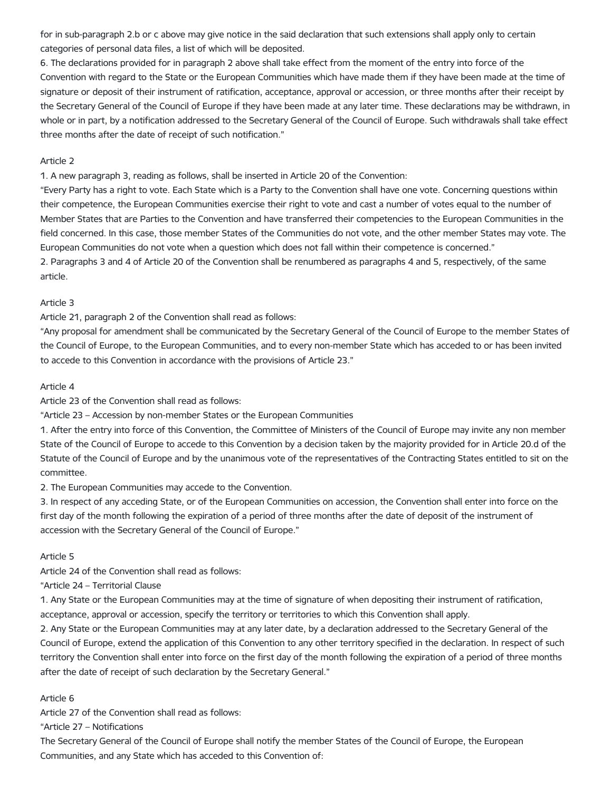for in sub-paragraph 2.b or c above may give notice in the said declaration that such extensions shall apply only to certain categories of personal data files, a list of which will be deposited.

6. The declarations provided for in paragraph 2 above shall take effect from the moment of the entry into force of the Convention with regard to the State or the European Communities which have made them if they have been made at the time of signature or deposit of their instrument of ratification, acceptance, approval or accession, or three months after their receipt by the Secretary General of the Council of Europe if they have been made at any later time. These declarations may be withdrawn, in whole or in part, by a notification addressed to the Secretary General of the Council of Europe. Such withdrawals shall take effect three months after the date of receipt of such notification."

#### Article 2

1. A new paragraph 3, reading as follows, shall be inserted in Article 20 of the Convention:

"Every Party has a right to vote. Each State which is a Party to the Convention shall have one vote. Concerning questions within their competence, the European Communities exercise their right to vote and cast a number of votes equal to the number of Member States that are Parties to the Convention and have transferred their competencies to the European Communities in the field concerned. In this case, those member States of the Communities do not vote, and the other member States may vote. The European Communities do not vote when a question which does not fall within their competence is concerned." 2. Paragraphs 3 and 4 of Article 20 of the Convention shall be renumbered as paragraphs 4 and 5, respectively, of the same article.

## Article 3

Article 21, paragraph 2 of the Convention shall read as follows:

"Any proposal for amendment shall be communicated by the Secretary General of the Council of Europe to the member States of the Council of Europe, to the European Communities, and to every non-member State which has acceded to or has been invited to accede to this Convention in accordance with the provisions of Article 23."

#### Article 4

Article 23 of the Convention shall read as follows:

"Article 23 – Accession by non-member States or the European Communities

1. After the entry into force of this Convention, the Committee of Ministers of the Council of Europe may invite any non member State of the Council of Europe to accede to this Convention by a decision taken by the majority provided for in Article 20.d of the Statute of the Council of Europe and by the unanimous vote of the representatives of the Contracting States entitled to sit on the committee.

2. The European Communities may accede to the Convention.

3. In respect of any acceding State, or of the European Communities on accession, the Convention shall enter into force on the first day of the month following the expiration of a period of three months after the date of deposit of the instrument of accession with the Secretary General of the Council of Europe."

#### Article 5

Article 24 of the Convention shall read as follows:

"Article 24 – Territorial Clause

1. Any State or the European Communities may at the time of signature of when depositing their instrument of ratification, acceptance, approval or accession, specify the territory or territories to which this Convention shall apply.

2. Any State or the European Communities may at any later date, by a declaration addressed to the Secretary General of the Council of Europe, extend the application of this Convention to any other territory specified in the declaration. In respect of such territory the Convention shall enter into force on the first day of the month following the expiration of a period of three months after the date of receipt of such declaration by the Secretary General."

# Article 6

Article 27 of the Convention shall read as follows:

"Article 27 – Notifications

The Secretary General of the Council of Europe shall notify the member States of the Council of Europe, the European Communities, and any State which has acceded to this Convention of: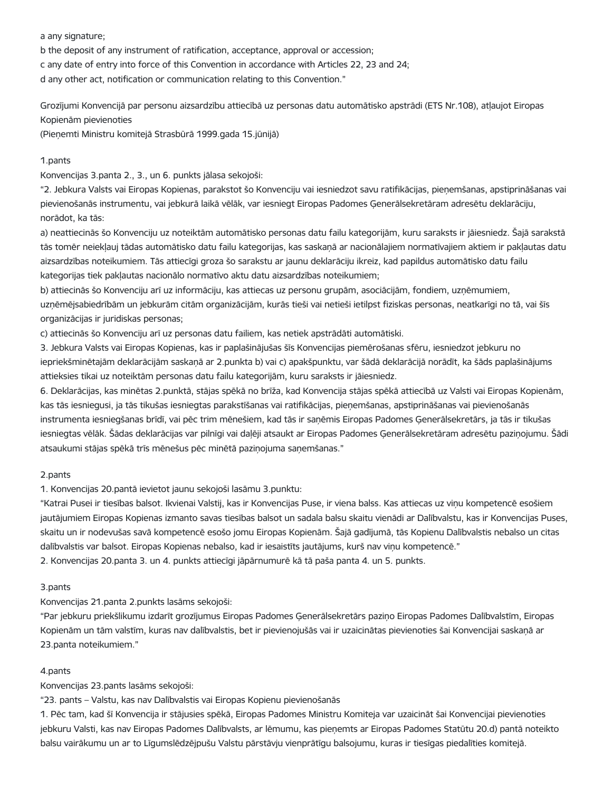a any signature;

b the deposit of any instrument of ratification, acceptance, approval or accession; c any date of entry into force of this Convention in accordance with Articles 22, 23 and 24; d any other act, notification or communication relating to this Convention."

Grozījumi Konvencijā par personu aizsardzību attiecībā uz personas datu automātisko apstrādi (ETS Nr.108), atļaujot Eiropas Kopienām pievienoties

(Pieņemti Ministru komitejā Strasbūrā 1999.gada 15.jūnijā)

## 1.pants

Konvencijas 3.panta 2., 3., un 6. punkts jālasa sekojoši:

"2. Jebkura Valsts vai Eiropas Kopienas, parakstot šo Konvenciju vai iesniedzot savu ratifikācijas, pieņemšanas, apstiprināšanas vai pievienošanās instrumentu, vai jebkurā laikā vēlāk, var iesniegt Eiropas Padomes Ģenerālsekretāram adresētu deklarāciju, norādot, ka tās:

a) neattiecinās šo Konvenciju uz noteiktām automātisko personas datu failu kategorijām, kuru saraksts ir jāiesniedz. Šajā sarakstā tās tomēr neiekļauj tādas automātisko datu failu kategorijas, kas saskaņā ar nacionālajiem normatīvajiem aktiem ir pakļautas datu aizsardzības noteikumiem. Tās attiecīgi groza šo sarakstu ar jaunu deklarāciju ikreiz, kad papildus automātisko datu failu kategorijas tiek pakļautas nacionālo normatīvo aktu datu aizsardzības noteikumiem;

b) attiecinās šo Konvenciju arī uz informāciju, kas attiecas uz personu grupām, asociācijām, fondiem, uzņēmumiem, uzņēmējsabiedrībām un jebkurām citām organizācijām, kurās tieši vai netieši ietilpst fiziskas personas, neatkarīgi no tā, vai šīs organizācijas ir juridiskas personas;

c) attiecinās šo Konvenciju arī uz personas datu failiem, kas netiek apstrādāti automātiski.

3. Jebkura Valsts vai Eiropas Kopienas, kas ir paplašinājušas šīs Konvencijas piemērošanas sfēru, iesniedzot jebkuru no iepriekšminētajām deklarācijām saskaņā ar 2.punkta b) vai c) apakšpunktu, var šādā deklarācijā norādīt, ka šāds paplašinājums attieksies tikai uz noteiktām personas datu failu kategorijām, kuru saraksts ir jāiesniedz.

6. Deklarācijas, kas minētas 2.punktā, stājas spēkā no brīža, kad Konvencija stājas spēkā attiecībā uz Valsti vai Eiropas Kopienām, kas tās iesniegusi, ja tās tikušas iesniegtas parakstīšanas vai ratifikācijas, pieņemšanas, apstiprināšanas vai pievienošanās instrumenta iesniegšanas brīdī, vai pēc trim mēnešiem, kad tās ir saņēmis Eiropas Padomes Ģenerālsekretārs, ja tās ir tikušas iesniegtas vēlāk. Šādas deklarācijas var pilnīgi vai daļēji atsaukt ar Eiropas Padomes Ģenerālsekretāram adresētu paziņojumu. Šādi atsaukumi stājas spēkā trīs mēnešus pēc minētā paziņojuma saņemšanas."

# 2.pants

1. Konvencijas 20.pantā ievietot jaunu sekojoši lasāmu 3.punktu:

"Katrai Pusei ir tiesības balsot. Ikvienai Valstij, kas ir Konvencijas Puse, ir viena balss. Kas attiecas uz viņu kompetencē esošiem jautājumiem Eiropas Kopienas izmanto savas tiesības balsot un sadala balsu skaitu vienādi ar Dalībvalstu, kas ir Konvencijas Puses, skaitu un ir nodevušas savā kompetencē esošo jomu Eiropas Kopienām. Šajā gadījumā, tās Kopienu Dalībvalstis nebalso un citas dalībvalstis var balsot. Eiropas Kopienas nebalso, kad ir iesaistīts jautājums, kurš nav viņu kompetencē." 2. Konvencijas 20.panta 3. un 4. punkts attiecīgi jāpārnumurē kā tā paša panta 4. un 5. punkts.

#### 3.pants

Konvencijas 21.panta 2.punkts lasāms sekojoši:

"Par jebkuru priekšlikumu izdarīt grozījumus Eiropas Padomes Ģenerālsekretārs paziņo Eiropas Padomes Dalībvalstīm, Eiropas Kopienām un tām valstīm, kuras nav dalībvalstis, bet ir pievienojušās vai ir uzaicinātas pievienoties šai Konvencijai saskaņā ar 23.panta noteikumiem."

#### 4.pants

Konvencijas 23.pants lasāms sekojoši:

"23. pants – Valstu, kas nav Dalībvalstis vai Eiropas Kopienu pievienošanās

1. Pēc tam, kad šī Konvencija ir stājusies spēkā, Eiropas Padomes Ministru Komiteja var uzaicināt šai Konvencijai pievienoties jebkuru Valsti, kas nav Eiropas Padomes Dalībvalsts, ar lēmumu, kas pieņemts ar Eiropas Padomes Statūtu 20.d) pantā noteikto balsu vairākumu un ar to Līgumslēdzējpušu Valstu pārstāvju vienprātīgu balsojumu, kuras ir tiesīgas piedalīties komitejā.